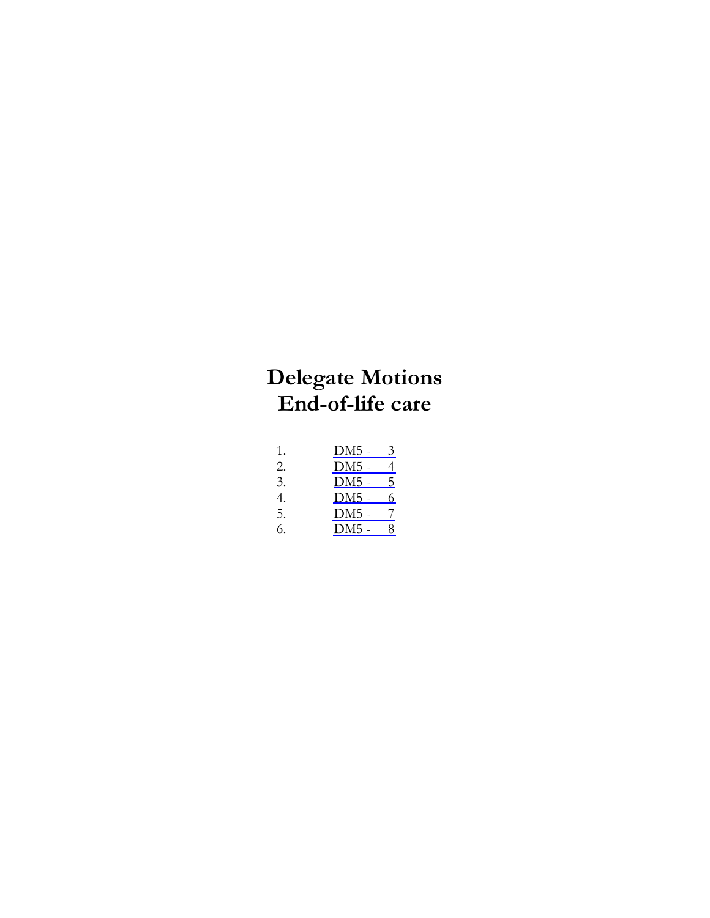# **Delegate Motions End-of-life care**

| 1. | DM5 - | 3 |
|----|-------|---|
| 2. | DM5 - | 4 |
| 3. | DM5 - | 5 |
| 4. | DM5 - | 6 |
| 5. | DM5 - | 7 |
| 6. | DM5 - | 8 |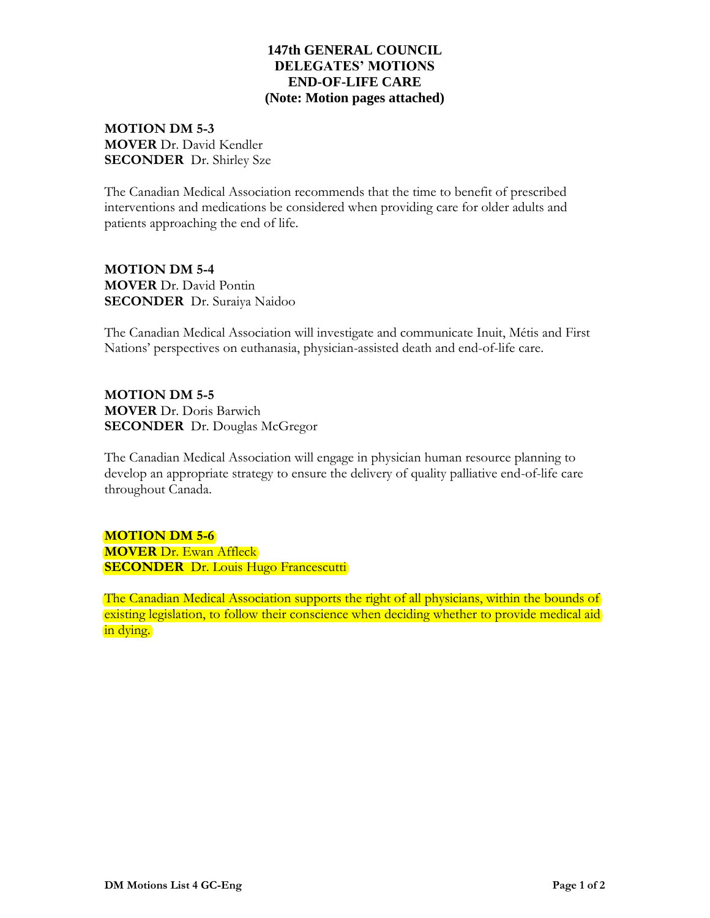# **147th GENERAL COUNCIL DELEGATES' MOTIONS END-OF-LIFE CARE (Note: Motion pages attached)**

**MOTION DM 5-3 MOVER** Dr. David Kendler **SECONDER** Dr. Shirley Sze

The Canadian Medical Association recommends that the time to benefit of prescribed interventions and medications be considered when providing care for older adults and patients approaching the end of life.

**MOTION DM 5-4 MOVER** Dr. David Pontin **SECONDER** Dr. Suraiya Naidoo

The Canadian Medical Association will investigate and communicate Inuit, Métis and First Nations' perspectives on euthanasia, physician-assisted death and end-of-life care.

**MOTION DM 5-5 MOVER** Dr. Doris Barwich **SECONDER** Dr. Douglas McGregor

The Canadian Medical Association will engage in physician human resource planning to develop an appropriate strategy to ensure the delivery of quality palliative end-of-life care throughout Canada.

**MOTION DM 5-6 MOVER** Dr. Ewan Affleck **SECONDER** Dr. Louis Hugo Francescutti

The Canadian Medical Association supports the right of all physicians, within the bounds of existing legislation, to follow their conscience when deciding whether to provide medical aid in dying.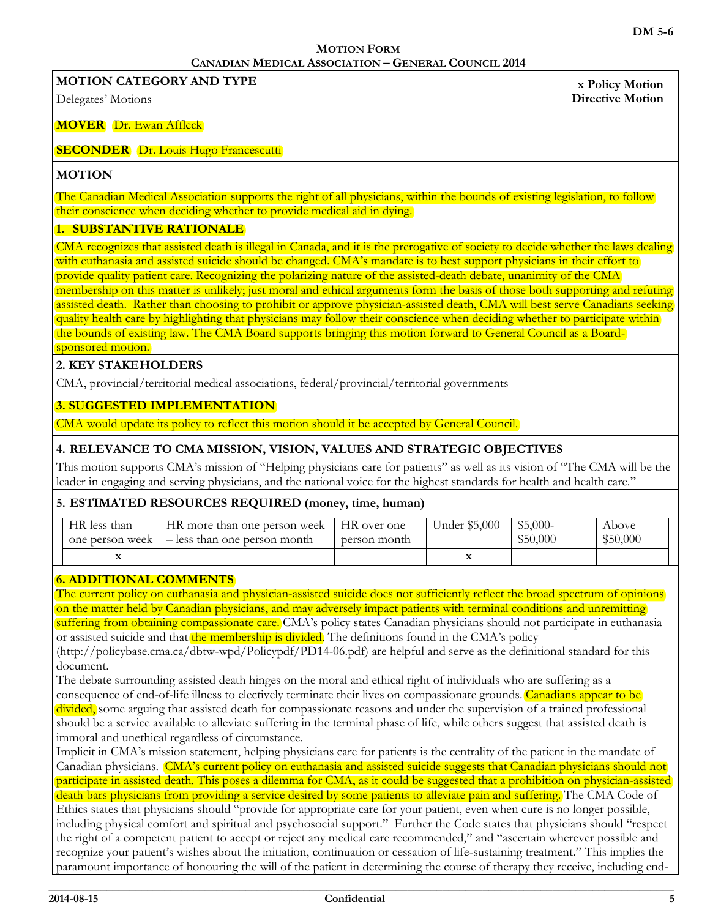**x Policy Motion Directive Motion**

#### **MOTION FORM CANADIAN MEDICAL ASSOCIATION – GENERAL COUNCIL 2014**

<span id="page-2-0"></span>**MOTION CATEGORY AND TYPE** 

Delegates' Motions

#### **MOVER** Dr. Ewan Affleck

#### **SECONDER** Dr. Louis Hugo Francescutti

#### **MOTION**

The Canadian Medical Association supports the right of all physicians, within the bounds of existing legislation, to follow their conscience when deciding whether to provide medical aid in dying.

#### **1. SUBSTANTIVE RATIONALE**

CMA recognizes that assisted death is illegal in Canada, and it is the prerogative of society to decide whether the laws dealing with euthanasia and assisted suicide should be changed. CMA's mandate is to best support physicians in their effort to provide quality patient care. Recognizing the polarizing nature of the assisted-death debate, unanimity of the CMA membership on this matter is unlikely; just moral and ethical arguments form the basis of those both supporting and refuting assisted death. Rather than choosing to prohibit or approve physician-assisted death, CMA will best serve Canadians seeking quality health care by highlighting that physicians may follow their conscience when deciding whether to participate within the bounds of existing law. The CMA Board supports bringing this motion forward to General Council as a Boardsponsored motion.

## **2. KEY STAKEHOLDERS**

CMA, provincial/territorial medical associations, federal/provincial/territorial governments

#### **3. SUGGESTED IMPLEMENTATION**

CMA would update its policy to reflect this motion should it be accepted by General Council.

## **4. RELEVANCE TO CMA MISSION, VISION, VALUES AND STRATEGIC OBJECTIVES**

This motion supports CMA's mission of "Helping physicians care for patients" as well as its vision of "The CMA will be the leader in engaging and serving physicians, and the national voice for the highest standards for health and health care."

#### **5. ESTIMATED RESOURCES REQUIRED (money, time, human)**

| HR less than    | HR more than one person week | HR over one  | Under \$5,000 | $$5,000-$ | Above    |
|-----------------|------------------------------|--------------|---------------|-----------|----------|
| one person week | - less than one person month | person month |               | \$50,000  | \$50,000 |
|                 |                              |              |               |           |          |

#### **6. ADDITIONAL COMMENTS**

The current policy on euthanasia and physician-assisted suicide does not sufficiently reflect the broad spectrum of opinions on the matter held by Canadian physicians, and may adversely impact patients with terminal conditions and unremitting suffering from obtaining compassionate care. CMA's policy states Canadian physicians should not participate in euthanasia

or assisted suicide and that the membership is divided. The definitions found in the CMA's policy

(http://policybase.cma.ca/dbtw-wpd/Policypdf/PD14-06.pdf) are helpful and serve as the definitional standard for this document.

The debate surrounding assisted death hinges on the moral and ethical right of individuals who are suffering as a consequence of end-of-life illness to electively terminate their lives on compassionate grounds. Canadians appear to be divided, some arguing that assisted death for compassionate reasons and under the supervision of a trained professional should be a service available to alleviate suffering in the terminal phase of life, while others suggest that assisted death is immoral and unethical regardless of circumstance.

Implicit in CMA's mission statement, helping physicians care for patients is the centrality of the patient in the mandate of Canadian physicians. CMA's current policy on euthanasia and assisted suicide suggests that Canadian physicians should not participate in assisted death. This poses a dilemma for CMA, as it could be suggested that a prohibition on physician-assisted death bars physicians from providing a service desired by some patients to alleviate pain and suffering. The CMA Code of Ethics states that physicians should "provide for appropriate care for your patient, even when cure is no longer possible, including physical comfort and spiritual and psychosocial support." Further the Code states that physicians should "respect the right of a competent patient to accept or reject any medical care recommended," and "ascertain wherever possible and recognize your patient's wishes about the initiation, continuation or cessation of life-sustaining treatment." This implies the paramount importance of honouring the will of the patient in determining the course of therapy they receive, including end-